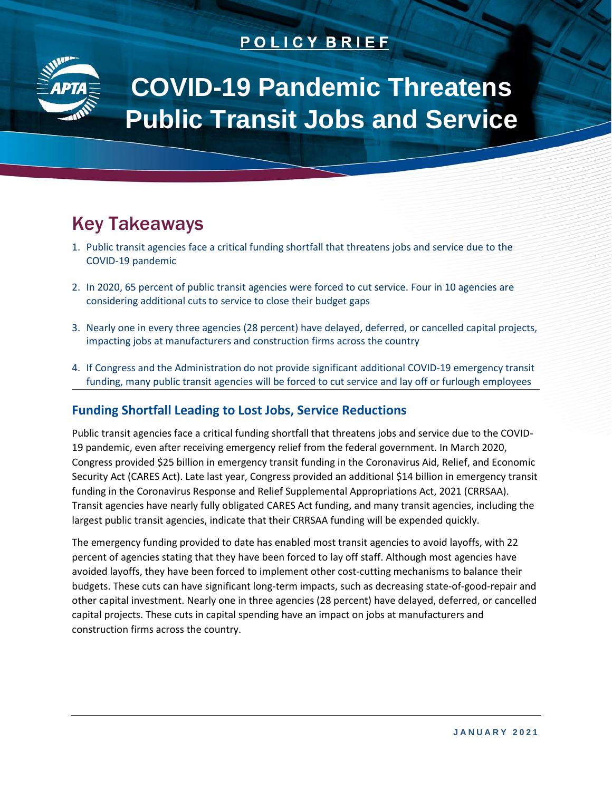# **POLICY BRIEF**



# **COVID-19 Pandemic Threatens Public Transit Jobs and Service**

# Key Takeaways

- 1. Public transit agencies face a critical funding shortfall that threatens jobs and service due to the COVID-19 pandemic
- 2. In 2020, 65 percent of public transit agencies were forced to cut service. Four in 10 agencies are considering additional cuts to service to close their budget gaps
- 3. Nearly one in every three agencies (28 percent) have delayed, deferred, or cancelled capital projects, impacting jobs at manufacturers and construction firms across the country
- 4. If Congress and the Administration do not provide significant additional COVID-19 emergency transit funding, many public transit agencies will be forced to cut service and lay off or furlough employees

## **Funding Shortfall Leading to Lost Jobs, Service Reductions**

Public transit agencies face a critical funding shortfall that threatens jobs and service due to the COVID-19 pandemic, even after receiving emergency relief from the federal government. In March 2020, Congress provided \$25 billion in emergency transit funding in the Coronavirus Aid, Relief, and Economic Security Act (CARES Act). Late last year, Congress provided an additional \$14 billion in emergency transit funding in the Coronavirus Response and Relief Supplemental Appropriations Act, 2021 (CRRSAA). Transit agencies have nearly fully obligated CARES Act funding, and many transit agencies, including the largest public transit agencies, indicate that their CRRSAA funding will be expended quickly.

The emergency funding provided to date has enabled most transit agencies to avoid layoffs, with 22 percent of agencies stating that they have been forced to lay off staff. Although most agencies have avoided layoffs, they have been forced to implement other cost-cutting mechanisms to balance their budgets. These cuts can have significant long-term impacts, such as decreasing state-of-good-repair and other capital investment. Nearly one in three agencies (28 percent) have delayed, deferred, or cancelled capital projects. These cuts in capital spending have an impact on jobs at manufacturers and construction firms across the country.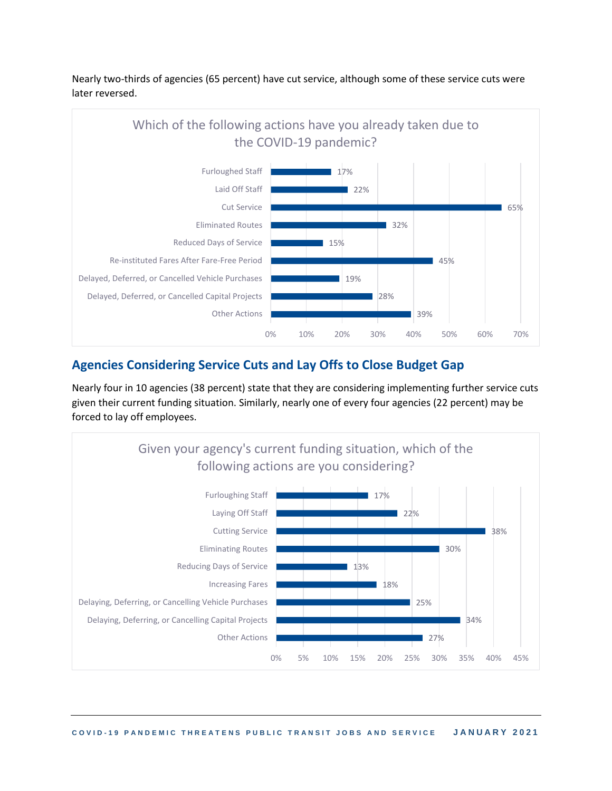

Nearly two-thirds of agencies (65 percent) have cut service, although some of these service cuts were later reversed.

### **Agencies Considering Service Cuts and Lay Offs to Close Budget Gap**

Nearly four in 10 agencies (38 percent) state that they are considering implementing further service cuts given their current funding situation. Similarly, nearly one of every four agencies (22 percent) may be forced to lay off employees.

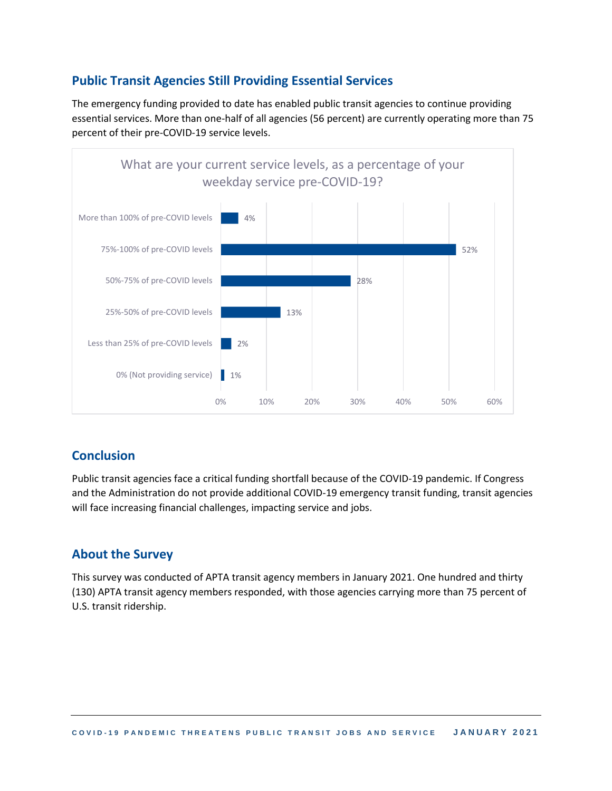## **Public Transit Agencies Still Providing Essential Services**

The emergency funding provided to date has enabled public transit agencies to continue providing essential services. More than one-half of all agencies (56 percent) are currently operating more than 75 percent of their pre-COVID-19 service levels.



### **Conclusion**

Public transit agencies face a critical funding shortfall because of the COVID-19 pandemic. If Congress and the Administration do not provide additional COVID-19 emergency transit funding, transit agencies will face increasing financial challenges, impacting service and jobs.

### **About the Survey**

This survey was conducted of APTA transit agency members in January 2021. One hundred and thirty (130) APTA transit agency members responded, with those agencies carrying more than 75 percent of U.S. transit ridership.